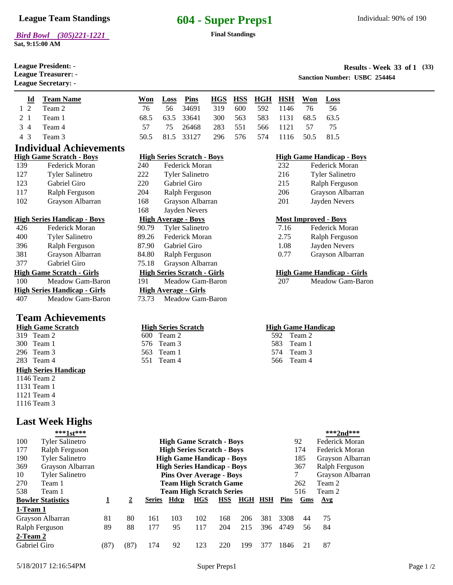**Sat, 9:15:00 AM**

**League Secretary:** -

**League President:** -

## **League Team Standings 604 - Super Preps1**

### **Results - Week 33 of 1 League Treasurer:** - **(33)**

**Sanction Number: USBC 254464** 

|  | <b>Id</b> Team Name | <b>Won</b> | <b>Loss</b> Pins                           |  | HGS HSS HGH HSH Won Loss |  |      |
|--|---------------------|------------|--------------------------------------------|--|--------------------------|--|------|
|  | 1 2 Team 2          | 76.        | 56 34691 319 600 592 1146 76 56            |  |                          |  |      |
|  | 2 1 Team 1          |            | 68.5 63.5 33641 300 563 583 1131 68.5 63.5 |  |                          |  |      |
|  | 3 4 Team 4          | 57.        | 75 26468 283 551 566 1121 57               |  |                          |  | - 75 |
|  | 4 3 Team 3          |            | 50.5 81.5 33127 296 576 574 1116 50.5 81.5 |  |                          |  |      |
|  |                     |            |                                            |  |                          |  |      |

222 Tyler Salinetro 220 Gabriel Giro 204 Ralph Ferguson 168 Grayson Albarran 168 Jayden Nevers

600 Team 2 576 Team 3 563 Team 1

# **Individual Achievements**

|     | High Game Scratch - Boys |
|-----|--------------------------|
| 139 | Federick Moran           |
| 127 | <b>Tyler Salinetro</b>   |
| 123 | Gabriel Giro             |
| 117 | Ralph Ferguson           |
| 102 | Grayson Albarran         |

### **High Series Handicap - Boys High Average - Boys Most Improved - Boys**

| 426 | Federick Moran                       | 90.79 | <b>Tyler Salinetro</b>             |
|-----|--------------------------------------|-------|------------------------------------|
| 400 | <b>Tyler Salinetro</b>               | 89.26 | Federick Moran                     |
| 396 | Ralph Ferguson                       | 87.90 | Gabriel Giro                       |
| 381 | Grayson Albarran                     | 84.80 | Ralph Ferguson                     |
| 377 | Gabriel Giro                         | 75.18 | Grayson Albarran                   |
|     | <u> High Game Scratch - Girls</u>    |       | <b>High Series Scratch - Girls</b> |
| 100 | Meadow Gam-Baron                     | 191   | Meadow Gam-Baron                   |
|     | <u> High Series Handicap - Girls</u> |       | <b>High Average - Girls</b>        |
| 407 | Meadow Gam-Baron                     | 73.73 | Meadow Gam-Baron                   |

## **Team Achievements**

| High Game Scratch           |
|-----------------------------|
| 319 Team 2                  |
| 300 Team 1                  |
| 296 Team 3                  |
| 283 Team 4                  |
|                             |
| <b>High Series Handicap</b> |
| 1146 Team 2                 |
| 1131 Team 1                 |
| 1121 Team 4                 |

## **Last Week Highs**

| 283 Team 4      |                             |                         |                | 551                                | Team 4                           |            |            |                |     | 566  | Team 4                  |                  |  |
|-----------------|-----------------------------|-------------------------|----------------|------------------------------------|----------------------------------|------------|------------|----------------|-----|------|-------------------------|------------------|--|
|                 | <b>High Series Handicap</b> |                         |                |                                    |                                  |            |            |                |     |      |                         |                  |  |
| 1146 Team 2     |                             |                         |                |                                    |                                  |            |            |                |     |      |                         |                  |  |
| 1131 Team 1     |                             |                         |                |                                    |                                  |            |            |                |     |      |                         |                  |  |
| 1121 Team 4     |                             |                         |                |                                    |                                  |            |            |                |     |      |                         |                  |  |
| 1116 Team 3     |                             |                         |                |                                    |                                  |            |            |                |     |      |                         |                  |  |
|                 | <b>Last Week Highs</b>      |                         |                |                                    |                                  |            |            |                |     |      |                         |                  |  |
|                 | ***1st***                   |                         |                |                                    |                                  |            |            |                |     |      |                         | ***2nd***        |  |
| 100             | <b>Tyler Salinetro</b>      |                         |                |                                    | <b>High Game Scratch - Boys</b>  |            |            |                |     |      | 92                      | Federick Moran   |  |
| 177             | Ralph Ferguson              |                         |                | <b>High Series Scratch - Boys</b>  |                                  |            |            |                |     |      | Federick Moran<br>174   |                  |  |
| 190             | <b>Tyler Salinetro</b>      |                         |                |                                    | <b>High Game Handicap - Boys</b> |            |            |                |     |      | 185<br>Grayson Albarran |                  |  |
| 369             | Grayson Albarran            |                         |                | <b>High Series Handicap - Boys</b> |                                  |            |            |                |     |      | Ralph Ferguson<br>367   |                  |  |
| 10              | <b>Tyler Salinetro</b>      |                         |                |                                    | <b>Pins Over Average - Boys</b>  |            |            |                |     |      | 7                       | Grayson Albarran |  |
| 270             | Team 1                      |                         |                |                                    | Team High Scratch Game           |            |            |                |     |      | 262                     | Team 2           |  |
| 538             | Team 1                      |                         |                |                                    | <b>Team High Scratch Series</b>  |            |            |                |     |      | 516                     | Team 2           |  |
|                 | <b>Bowler Statistics</b>    | $\overline{\mathbf{1}}$ | $\overline{2}$ | Series                             | <b>Hdcp</b>                      | <b>HGS</b> | <b>HSS</b> | <b>HGH HSH</b> |     | Pins | Gms                     | $\Delta$ vg      |  |
| 1-Team 1        |                             |                         |                |                                    |                                  |            |            |                |     |      |                         |                  |  |
|                 | Grayson Albarran            | 81                      | 80             | 161                                | 103                              | 102        | 168        | 206            | 381 | 3308 | 44                      | 75               |  |
|                 | Ralph Ferguson              | 89                      | 88             | 177                                | 95                               | 117        | 204        | 215            | 396 | 4749 | 56                      | 84               |  |
| <u>2-Team 2</u> |                             |                         |                |                                    |                                  |            |            |                |     |      |                         |                  |  |
| Gabriel Giro    |                             | (87)                    | (87)           | 174                                | 92                               | 123        | 220        | 199            | 377 | 1846 | 21                      | 87               |  |

|     | <b>High Series Scratch - Boys</b> | <b>High</b> |
|-----|-----------------------------------|-------------|
| 240 | Federick Moran                    | 232         |

| <b>High Game Handicap - Boys</b> |                        |  |  |  |  |  |  |  |
|----------------------------------|------------------------|--|--|--|--|--|--|--|
| 232                              | Federick Moran         |  |  |  |  |  |  |  |
| 216                              | <b>Tyler Salinetro</b> |  |  |  |  |  |  |  |
| 215                              | Ralph Ferguson         |  |  |  |  |  |  |  |
| 206                              | Grayson Albarran       |  |  |  |  |  |  |  |
| 201                              | Jayden Nevers          |  |  |  |  |  |  |  |

| Federick Moran   |
|------------------|
| Ralph Ferguson   |
| Jayden Nevers    |
| Grayson Albarran |
|                  |

### **High Game Scratch - Girls High Series Scratch - Girls High Game Handicap - Girls**

100 191 207 Meadow Gam-Baron Meadow Gam-Baron Meadow Gam-Baron

### **High Series Scratch High Game Handicap**

| 592  | Team 2 |
|------|--------|
| 583. | Team 1 |